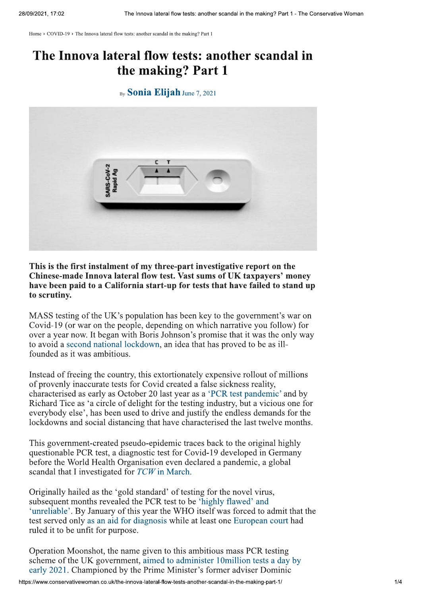Home > COVID-19 > The Innova lateral flow tests: another scandal in the making? Part 1

## The Innova lateral flow tests: another scandal in the making? Part 1

## By **Sonia Elijah** June 7, 2021



This is the first instalment of my three-part investigative report on the Chinese-made Innova lateral flow test. Vast sums of UK taxpayers' money have been paid to a California start-up for tests that have failed to stand up to scrutiny.

MASS testing of the UK's population has been key to the government's war on Covid-19 (or war on the people, depending on which narrative you follow) for over a year now. It began with Boris Johnson's promise that it was the only way to avoid a second national lockdown, an idea that has proved to be as illfounded as it was ambitious.

Instead of freeing the country, this extortionately expensive rollout of millions of provenly inaccurate tests for Covid created a false sickness reality, characterised as early as October 20 last year as a 'PCR test pandemic' and by Richard Tice as 'a circle of delight for the testing industry, but a vicious one for everybody else', has been used to drive and justify the endless demands for the lockdowns and social distancing that have characterised the last twelve months.

This government-created pseudo-epidemic traces back to the original highly questionable PCR test, a diagnostic test for Covid-19 developed in Germany before the World Health Organisation even declared a pandemic, a global scandal that I investigated for TCW in March.

Originally hailed as the 'gold standard' of testing for the novel virus. subsequent months revealed the PCR test to be 'highly flawed' and 'unreliable'. By January of this year the WHO itself was forced to admit that the test served only as an aid for diagnosis while at least one European court had ruled it to be unfit for purpose.

Operation Moonshot, the name given to this ambitious mass PCR testing scheme of the UK government, aimed to administer 10 million tests a day by early 2021. Championed by the Prime Minister's former adviser Dominic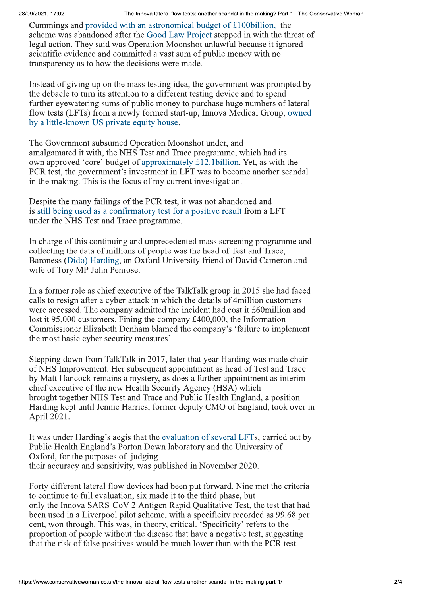Cummings and provided with an astronomical budget of £100 billion, the scheme was abandoned after the Good Law Project stepped in with the threat of legal action. They said was Operation Moonshot unlawful because it ignored scientific evidence and committed a vast sum of public money with no transparency as to how the decisions were made.

Instead of giving up on the mass testing idea, the government was prompted by the debacle to turn its attention to a different testing device and to spend further eyewatering sums of public money to purchase huge numbers of lateral flow tests (LFTs) from a newly formed start-up, Innova Medical Group, owned by a little-known US private equity house.

The Government subsumed Operation Moonshot under, and amalgamated it with, the NHS Test and Trace programme, which had its own approved 'core' budget of approximately £12.1 billion. Yet, as with the PCR test, the government's investment in LFT was to become another scandal in the making. This is the focus of my current investigation.

Despite the many failings of the PCR test, it was not abandoned and is still being used as a confirmatory test for a positive result from a LFT under the NHS Test and Trace programme.

In charge of this continuing and unprecedented mass screening programme and collecting the data of millions of people was the head of Test and Trace, Baroness (Dido) Harding, an Oxford University friend of David Cameron and wife of Tory MP John Penrose.

In a former role as chief executive of the TalkTalk group in 2015 she had faced calls to resign after a cyber-attack in which the details of 4 million customers were accessed. The company admitted the incident had cost it £60 million and lost it 95,000 customers. Fining the company  $\text{\pounds}400,000$ , the Information Commissioner Elizabeth Denham blamed the company's 'failure to implement the most basic cyber security measures'.

Stepping down from TalkTalk in 2017, later that year Harding was made chair of NHS Improvement. Her subsequent appointment as head of Test and Trace by Matt Hancock remains a mystery, as does a further appointment as interim chief executive of the new Health Security Agency (HSA) which brought together NHS Test and Trace and Public Health England, a position Harding kept until Jennie Harries, former deputy CMO of England, took over in April 2021.

It was under Harding's aegis that the evaluation of several LFTs, carried out by Public Health England's Porton Down laboratory and the University of Oxford, for the purposes of judging their accuracy and sensitivity, was published in November 2020.

Forty different lateral flow devices had been put forward. Nine met the criteria to continue to full evaluation, six made it to the third phase, but only the Innova SARS-CoV-2 Antigen Rapid Qualitative Test, the test that had been used in a Liverpool pilot scheme, with a specificity recorded as 99.68 per cent, won through. This was, in theory, critical. 'Specificity' refers to the proportion of people without the disease that have a negative test, suggesting that the risk of false positives would be much lower than with the PCR test.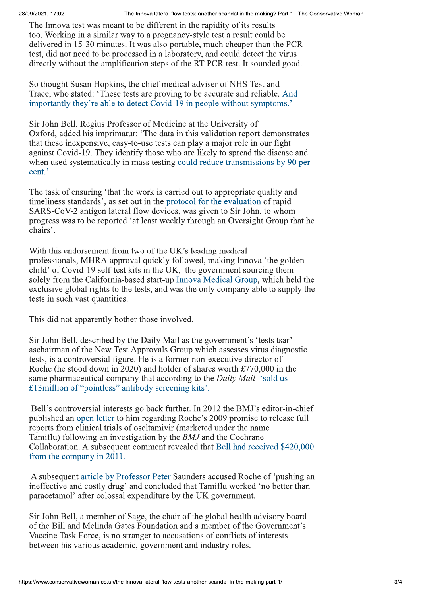28/09/2021, 17:02

The Innova test was meant to be different in the rapidity of its results too. Working in a similar way to a pregnancy-style test a result could be delivered in 15-30 minutes. It was also portable, much cheaper than the PCR test, did not need to be processed in a laboratory, and could detect the virus directly without the amplification steps of the RT-PCR test. It sounded good.

So thought Susan Hopkins, the chief medical adviser of NHS Test and Trace, who stated: 'These tests are proving to be accurate and reliable. And importantly they're able to detect Covid-19 in people without symptoms.'

Sir John Bell, Regius Professor of Medicine at the University of Oxford, added his imprimatur: 'The data in this validation report demonstrates that these inexpensive, easy-to-use tests can play a major role in our fight against Covid-19. They identify those who are likely to spread the disease and when used systematically in mass testing could reduce transmissions by 90 per cent.'

The task of ensuring 'that the work is carried out to appropriate quality and timeliness standards', as set out in the protocol for the evaluation of rapid SARS-CoV-2 antigen lateral flow devices, was given to Sir John, to whom progress was to be reported 'at least weekly through an Oversight Group that he chairs'.

With this endorsement from two of the UK's leading medical professionals, MHRA approval quickly followed, making Innova 'the golden child' of Covid-19 self-test kits in the UK, the government sourcing them solely from the California-based start-up Innova Medical Group, which held the exclusive global rights to the tests, and was the only company able to supply the tests in such vast quantities.

This did not apparently bother those involved.

Sir John Bell, described by the Daily Mail as the government's 'tests tsar' aschairman of the New Test Approvals Group which assesses virus diagnostic tests, is a controversial figure. He is a former non-executive director of Roche (he stood down in 2020) and holder of shares worth £770,000 in the same pharmaceutical company that according to the *Daily Mail* 'sold us £13 million of "pointless" antibody screening kits'.

Bell's controversial interests go back further. In 2012 the BMJ's editor-in-chief published an open letter to him regarding Roche's 2009 promise to release full reports from clinical trials of oseltamivir (marketed under the name Tamiflu) following an investigation by the *BMJ* and the Cochrane Collaboration. A subsequent comment revealed that Bell had received \$420,000 from the company in 2011.

A subsequent article by Professor Peter Saunders accused Roche of 'pushing an ineffective and costly drug' and concluded that Tamiflu worked 'no better than paracetamol' after colossal expenditure by the UK government.

Sir John Bell, a member of Sage, the chair of the global health advisory board of the Bill and Melinda Gates Foundation and a member of the Government's Vaccine Task Force, is no stranger to accusations of conflicts of interests between his various academic, government and industry roles.